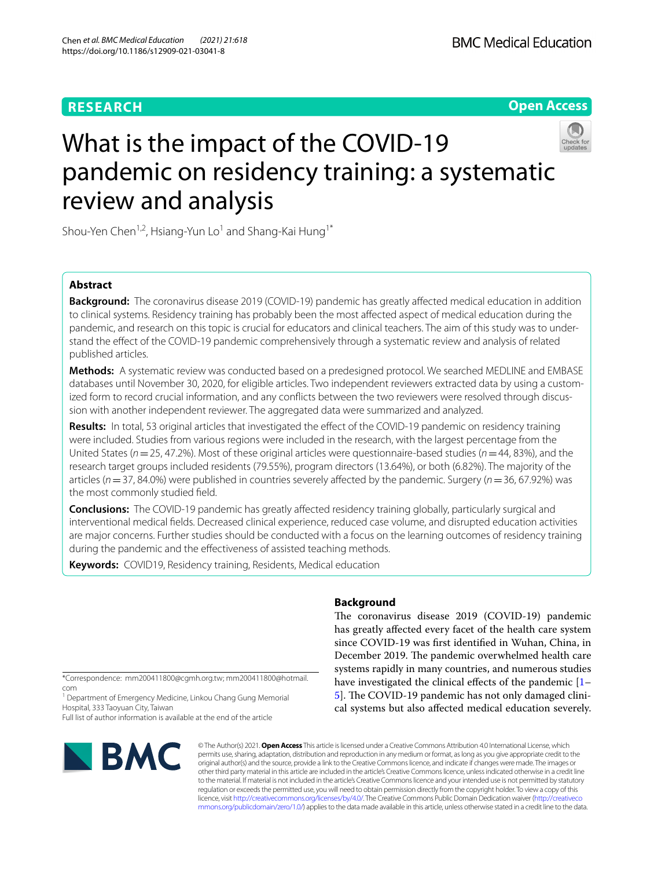# **RESEARCH**

**Open Access**

# What is the impact of the COVID-19 pandemic on residency training: a systematic review and analysis

Shou-Yen Chen<sup>1,2</sup>, Hsiang-Yun Lo<sup>1</sup> and Shang-Kai Hung<sup>1\*</sup>

# **Abstract**

**Background:** The coronavirus disease 2019 (COVID-19) pandemic has greatly afected medical education in addition to clinical systems. Residency training has probably been the most afected aspect of medical education during the pandemic, and research on this topic is crucial for educators and clinical teachers. The aim of this study was to understand the efect of the COVID-19 pandemic comprehensively through a systematic review and analysis of related published articles.

**Methods:** A systematic review was conducted based on a predesigned protocol. We searched MEDLINE and EMBASE databases until November 30, 2020, for eligible articles. Two independent reviewers extracted data by using a customized form to record crucial information, and any conflicts between the two reviewers were resolved through discussion with another independent reviewer. The aggregated data were summarized and analyzed.

**Results:** In total, 53 original articles that investigated the efect of the COVID-19 pandemic on residency training were included. Studies from various regions were included in the research, with the largest percentage from the United States (*n*=25, 47.2%). Most of these original articles were questionnaire-based studies (*n*=44, 83%), and the research target groups included residents (79.55%), program directors (13.64%), or both (6.82%). The majority of the articles (*n*=37, 84.0%) were published in countries severely afected by the pandemic. Surgery (*n*=36, 67.92%) was the most commonly studied feld.

**Conclusions:** The COVID-19 pandemic has greatly affected residency training globally, particularly surgical and interventional medical felds. Decreased clinical experience, reduced case volume, and disrupted education activities are major concerns. Further studies should be conducted with a focus on the learning outcomes of residency training during the pandemic and the efectiveness of assisted teaching methods.

**Keywords:** COVID19, Residency training, Residents, Medical education

\*Correspondence: mm200411800@cgmh.org.tw; mm200411800@hotmail. com

<sup>1</sup> Department of Emergency Medicine, Linkou Chang Gung Memorial Hospital, 333 Taoyuan City, Taiwan

Full list of author information is available at the end of the article



© The Author(s) 2021. **Open Access** This article is licensed under a Creative Commons Attribution 4.0 International License, which permits use, sharing, adaptation, distribution and reproduction in any medium or format, as long as you give appropriate credit to the original author(s) and the source, provide a link to the Creative Commons licence, and indicate if changes were made. The images or other third party material in this article are included in the article's Creative Commons licence, unless indicated otherwise in a credit line to the material. If material is not included in the article's Creative Commons licence and your intended use is not permitted by statutory regulation or exceeds the permitted use, you will need to obtain permission directly from the copyright holder. To view a copy of this licence, visit [http://creativecommons.org/licenses/by/4.0/.](http://creativecommons.org/licenses/by/4.0/) The Creative Commons Public Domain Dedication waiver ([http://creativeco](http://creativecommons.org/publicdomain/zero/1.0/) [mmons.org/publicdomain/zero/1.0/](http://creativecommons.org/publicdomain/zero/1.0/)) applies to the data made available in this article, unless otherwise stated in a credit line to the data.

# **Background**

The coronavirus disease 2019 (COVID-19) pandemic has greatly afected every facet of the health care system since COVID-19 was frst identifed in Wuhan, China, in December 2019. The pandemic overwhelmed health care systems rapidly in many countries, and numerous studies have investigated the clinical effects of the pandemic [[1–](#page-15-0) [5\]](#page-15-1). The COVID-19 pandemic has not only damaged clinical systems but also afected medical education severely.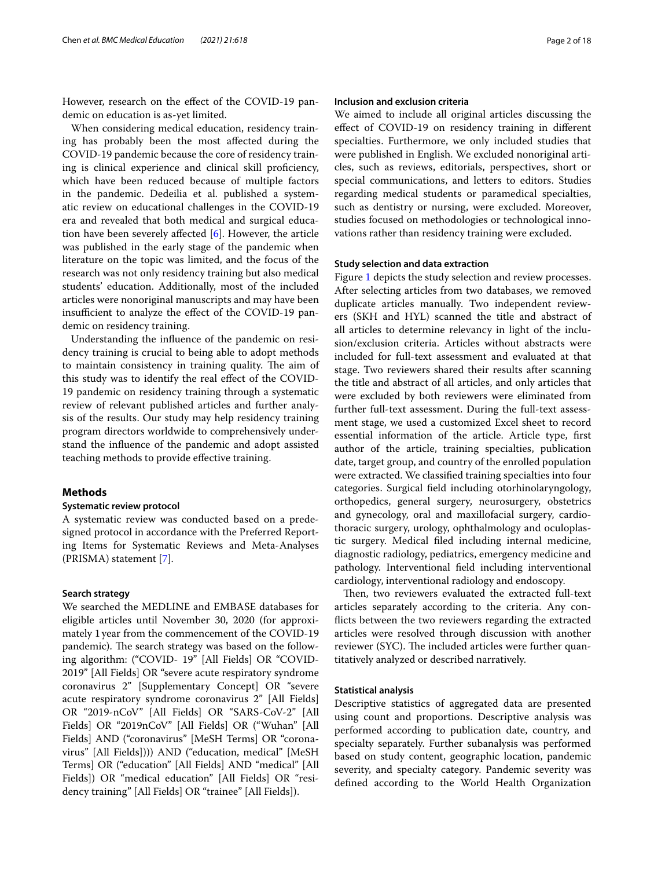However, research on the efect of the COVID-19 pandemic on education is as-yet limited.

When considering medical education, residency training has probably been the most afected during the COVID-19 pandemic because the core of residency training is clinical experience and clinical skill profciency, which have been reduced because of multiple factors in the pandemic. Dedeilia et al. published a systematic review on educational challenges in the COVID-19 era and revealed that both medical and surgical education have been severely affected  $[6]$  $[6]$ . However, the article was published in the early stage of the pandemic when literature on the topic was limited, and the focus of the research was not only residency training but also medical students' education. Additionally, most of the included articles were nonoriginal manuscripts and may have been insufficient to analyze the effect of the COVID-19 pandemic on residency training.

Understanding the infuence of the pandemic on residency training is crucial to being able to adopt methods to maintain consistency in training quality. The aim of this study was to identify the real efect of the COVID-19 pandemic on residency training through a systematic review of relevant published articles and further analysis of the results. Our study may help residency training program directors worldwide to comprehensively understand the infuence of the pandemic and adopt assisted teaching methods to provide efective training.

# **Methods**

# **Systematic review protocol**

A systematic review was conducted based on a predesigned protocol in accordance with the Preferred Reporting Items for Systematic Reviews and Meta-Analyses (PRISMA) statement [[7\]](#page-15-3).

## **Search strategy**

We searched the MEDLINE and EMBASE databases for eligible articles until November 30, 2020 (for approximately 1year from the commencement of the COVID-19 pandemic). The search strategy was based on the following algorithm: ("COVID- 19" [All Fields] OR "COVID-2019" [All Fields] OR "severe acute respiratory syndrome coronavirus 2" [Supplementary Concept] OR "severe acute respiratory syndrome coronavirus 2" [All Fields] OR "2019-nCoV" [All Fields] OR "SARS-CoV-2" [All Fields] OR "2019nCoV" [All Fields] OR ("Wuhan" [All Fields] AND ("coronavirus" [MeSH Terms] OR "coronavirus" [All Fields]))) AND ("education, medical" [MeSH Terms] OR ("education" [All Fields] AND "medical" [All Fields]) OR "medical education" [All Fields] OR "residency training" [All Fields] OR "trainee" [All Fields]).

# **Inclusion and exclusion criteria**

We aimed to include all original articles discussing the efect of COVID-19 on residency training in diferent specialties. Furthermore, we only included studies that were published in English. We excluded nonoriginal articles, such as reviews, editorials, perspectives, short or special communications, and letters to editors. Studies regarding medical students or paramedical specialties, such as dentistry or nursing, were excluded. Moreover, studies focused on methodologies or technological innovations rather than residency training were excluded.

## **Study selection and data extraction**

Figure [1](#page-2-0) depicts the study selection and review processes. After selecting articles from two databases, we removed duplicate articles manually. Two independent reviewers (SKH and HYL) scanned the title and abstract of all articles to determine relevancy in light of the inclusion/exclusion criteria. Articles without abstracts were included for full-text assessment and evaluated at that stage. Two reviewers shared their results after scanning the title and abstract of all articles, and only articles that were excluded by both reviewers were eliminated from further full-text assessment. During the full-text assessment stage, we used a customized Excel sheet to record essential information of the article. Article type, frst author of the article, training specialties, publication date, target group, and country of the enrolled population were extracted. We classifed training specialties into four categories. Surgical feld including otorhinolaryngology, orthopedics, general surgery, neurosurgery, obstetrics and gynecology, oral and maxillofacial surgery, cardiothoracic surgery, urology, ophthalmology and oculoplastic surgery. Medical fled including internal medicine, diagnostic radiology, pediatrics, emergency medicine and pathology. Interventional feld including interventional cardiology, interventional radiology and endoscopy.

Then, two reviewers evaluated the extracted full-text articles separately according to the criteria. Any conficts between the two reviewers regarding the extracted articles were resolved through discussion with another reviewer (SYC). The included articles were further quantitatively analyzed or described narratively.

## **Statistical analysis**

Descriptive statistics of aggregated data are presented using count and proportions. Descriptive analysis was performed according to publication date, country, and specialty separately. Further subanalysis was performed based on study content, geographic location, pandemic severity, and specialty category. Pandemic severity was defned according to the World Health Organization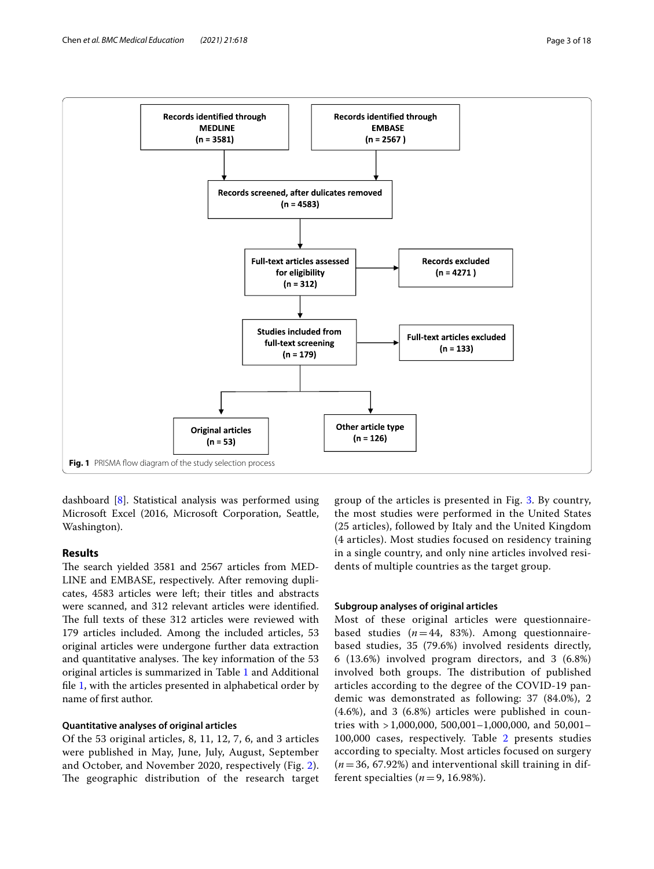

<span id="page-2-0"></span>dashboard [[8\]](#page-15-4). Statistical analysis was performed using Microsoft Excel (2016, Microsoft Corporation, Seattle, Washington).

# **Results**

The search yielded 3581 and 2567 articles from MED-LINE and EMBASE, respectively. After removing duplicates, 4583 articles were left; their titles and abstracts were scanned, and 312 relevant articles were identifed. The full texts of these 312 articles were reviewed with 179 articles included. Among the included articles, 53 original articles were undergone further data extraction and quantitative analyses. The key information of the 53 original articles is summarized in Table [1](#page-3-0) and Additional fle [1,](#page-15-5) with the articles presented in alphabetical order by name of frst author.

# **Quantitative analyses of original articles**

Of the 53 original articles, 8, 11, 12, 7, 6, and 3 articles were published in May, June, July, August, September and October, and November 2020, respectively (Fig. [2\)](#page-12-0). The geographic distribution of the research target

group of the articles is presented in Fig. [3](#page-13-0). By country, the most studies were performed in the United States (25 articles), followed by Italy and the United Kingdom (4 articles). Most studies focused on residency training in a single country, and only nine articles involved residents of multiple countries as the target group.

# **Subgroup analyses of original articles**

Most of these original articles were questionnairebased studies  $(n=44, 83%)$ . Among questionnairebased studies, 35 (79.6%) involved residents directly, 6 (13.6%) involved program directors, and 3 (6.8%) involved both groups. The distribution of published articles according to the degree of the COVID-19 pandemic was demonstrated as following: 37 (84.0%), 2 (4.6%), and 3 (6.8%) articles were published in countries with > 1,000,000, 500,001–1,000,000, and 50,001– 100,000 cases, respectively. Table [2](#page-13-1) presents studies according to specialty. Most articles focused on surgery (*n*=36, 67.92%) and interventional skill training in different specialties  $(n=9, 16.98\%)$ .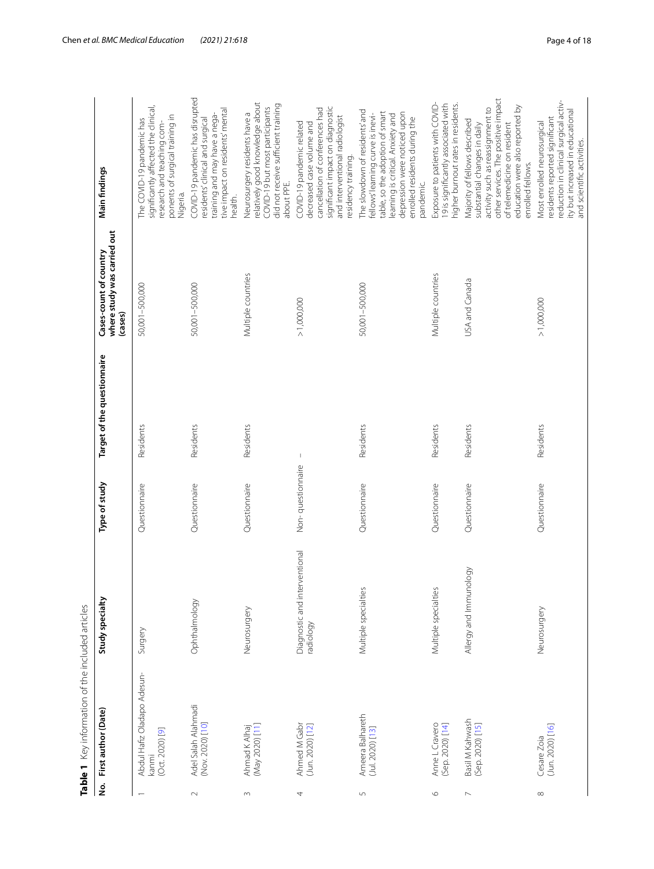|                  | Table 1 Key information of the included articles        |                                            |                   |                             |                                                                  |                                                                                                                                                                                                                                 |
|------------------|---------------------------------------------------------|--------------------------------------------|-------------------|-----------------------------|------------------------------------------------------------------|---------------------------------------------------------------------------------------------------------------------------------------------------------------------------------------------------------------------------------|
| è.               | First author (Date)                                     | Study specialty                            | Type of study     | Target of the questionnaire | where study was carried out<br>Cases-count of country<br>(cases) | Main findings                                                                                                                                                                                                                   |
|                  | Abdul Hafiz Oladapo Adesun-<br>(Oct. 2020) [9]<br>kanmi | Surgery                                    | Questionnaire     | Residents                   | 50,001-500,000                                                   | significantly affected the clinical,<br>ponents of surgical training in<br>The COVID-19 pandemic has<br>research and teaching com-<br>Nigeria.                                                                                  |
| $\sim$           | Adel Salah Alahmadi<br>(Nov. 2020) [10]                 | Ophthalmology                              | Questionnaire     | Residents                   | 50,001-500,000                                                   | COVID-19 pandemic has disrupted<br>tive impact on residents' mental<br>training and may have a nega-<br>residents' clinical and surgical<br>health.                                                                             |
| $\sim$           | (May 2020) [11]<br>Ahmad K Alhaj                        | Neurosurgery                               | Questionnaire     | Residents                   | Multiple countries                                               | relatively good knowledge about<br>did not receive sufficient training<br>COVID-19 but most participants<br>Neurosurgery residents have a<br>about PPE.                                                                         |
| 4                | Ahmed M Gabr<br>$(Jun. 2020)$ $[12]$                    | Diagnostic and interventional<br>radiology | Non-questionnaire | $\mathord{\text{\rm I}}$    | > 1,000,000                                                      | significant impact on diagnostic<br>cancellation of conferences had<br>and interventional radiologist<br>decreased case volume and<br>COVID-19 pandemic related<br>residency training.                                          |
| $\mathsf{L}\cap$ | Ameera Balhareth<br>(Jul. 2020) [13]                    | Multiple specialties                       | Questionnaire     | Residents                   | 50,001-500,000                                                   | The slowdown of residents' and<br>table, so the adoption of smart<br>depression were noticed upon<br>fellows' learning curve is inevi-<br>learning is critical. Anxiety and<br>enrolled residents during the<br>pandemic.       |
| $\circ$          | Anne L Cravero<br>(Sep. 2020) [14]                      | Multiple specialties                       | Questionnaire     | Residents                   | Multiple countries                                               | Exposure to patients with COVID-<br>19 is significantly associated with<br>higher burnout rates in residents.                                                                                                                   |
| $\overline{ }$   | Basil M Kahwash<br>(Sep. 2020) [15]                     | Allergy and Immunology                     | Questionnaire     | Residents                   | USA and Canada                                                   | other services. The positive impact<br>education were also reported by<br>activity such as reassignment to<br>Majority of fellows described<br>substantial changes in daily<br>of telemedicine on resident<br>enrolled fellows. |
| $\infty$         | (Jun. 2020) [16]<br>Cesare Zoia                         | Neurosurgery                               | Questionnaire     | Residents                   | > 1,000,000                                                      | reduction in clinical surgical activ-<br>ity but increased in educational<br>residents reported significant<br>Most enrolled neurosurgical<br>and scientific activities.                                                        |

<span id="page-3-0"></span>Table 1 Key information of the included articles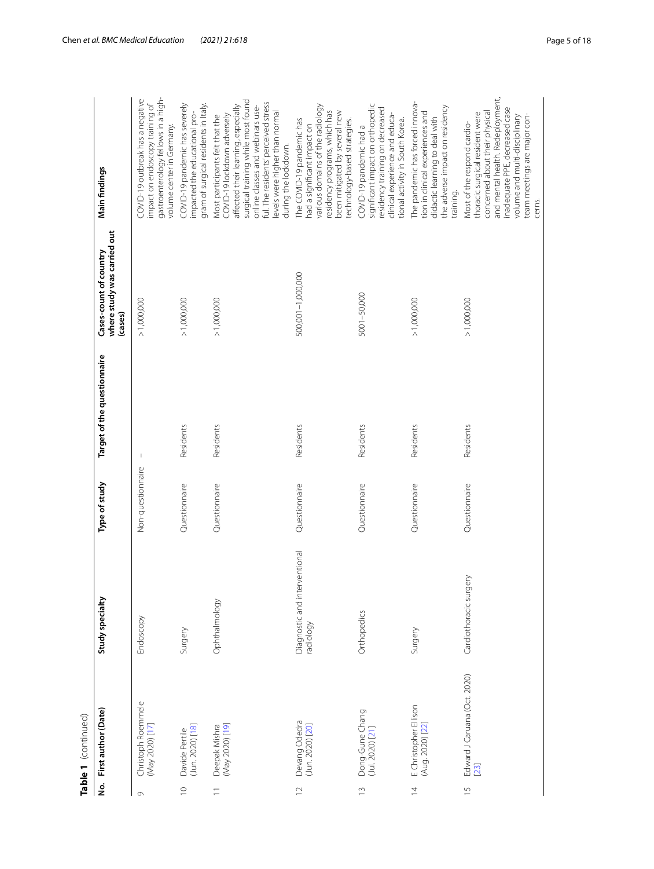|                | Table 1 (continued)                       |                                            |                   |                             |                                                                  |                                                                                                                                                                                                                                                                                   |
|----------------|-------------------------------------------|--------------------------------------------|-------------------|-----------------------------|------------------------------------------------------------------|-----------------------------------------------------------------------------------------------------------------------------------------------------------------------------------------------------------------------------------------------------------------------------------|
| <u>ہ</u>       | First author (Date)                       | Study specialty                            | Type of study     | Target of the questionnaire | where study was carried out<br>Cases-count of country<br>(cases) | Main findings                                                                                                                                                                                                                                                                     |
| $\circ$        | Christoph Roemmele<br>(May 2020) [17]     | Endoscopy                                  | Non-questionnaire | $\mathbb{I}$                | > 1,000,000                                                      | gastroenterology fellows in a high-<br>COVID-19 outbreak has a negative<br>impact on endoscopy training of<br>volume center in Germany.                                                                                                                                           |
| $\supseteq$    | (Jun. 2020) [18]<br>Davide Pertile        | Surgery                                    | Questionnaire     | Residents                   | > 1,000,000                                                      | gram of surgical residents in Italy.<br>COVID-19 pandemic has severely<br>impacted the educational pro-                                                                                                                                                                           |
| $\equiv$       | [Nay 2020) [19]<br>Deepak Mishra          | Ophthalmology                              | Questionnaire     | Residents                   | > 1,000,000                                                      | surgical training while most found<br>ful. The residents' perceived stress<br>affected their learning, especially<br>online classes and webinars use-<br>levels were higher than normal<br>COVID-19 lockdown adversely<br>Most participants felt that the<br>during the lockdown. |
| $\supseteq$    | Devang Odedra<br>(Jun. 2020) [20]         | Diagnostic and interventional<br>radiology | Questionnaire     | Residents                   | 500,001-1,000,000                                                | various domains of the radiology<br>residency programs, which has<br>been mitigated by several new<br>The COVID-19 pandemic has<br>technology-based strategies.<br>had a significant impact on                                                                                    |
| $\frac{1}{2}$  | Dong-Gune Chang<br>(Jul. 2020) [21]       | Orthopedics                                | Questionnaire     | Residents                   | 5001-50,000                                                      | significant impact on orthopedic<br>residency training on decreased<br>clinical experience and educa-<br>tional activity in South Korea.<br>COVID-19 pandemic had a                                                                                                               |
| $\overline{4}$ | E Christopher Ellison<br>(Aug. 2020) [22] | Surgery                                    | Questionnaire     | Residents                   | > 1,000,000                                                      | The pandemic has forced innova-<br>the adverse impact on residency<br>tion in clinical experiences and<br>didactic learning to deal with<br>training.                                                                                                                             |
| $\frac{5}{1}$  | Edward J Caruana (Oct. 2020)<br>[23]      | Cardiothoracic surgery                     | Questionnaire     | Residents                   | > 1,000,000                                                      | and mental health. Redeployment,<br>inadequate PPE, decreased case<br>concerned about their physical<br>thoracic surgical resident were<br>team meetings are major con-<br>volume and multi-disciplinary<br>Most of the respond cardio-<br>cerns.                                 |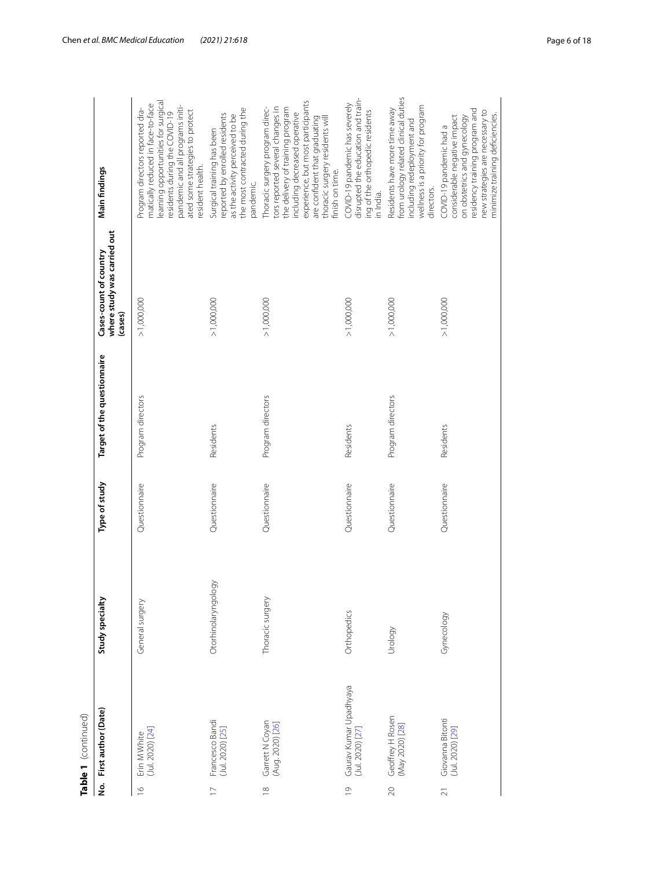|                         | Table 1 (continued)                        |                     |               |                             |                                                                  |                                                                                                                                                                                                                                                                      |
|-------------------------|--------------------------------------------|---------------------|---------------|-----------------------------|------------------------------------------------------------------|----------------------------------------------------------------------------------------------------------------------------------------------------------------------------------------------------------------------------------------------------------------------|
|                         | No. First author (Date)                    | Study specialty     | Type of study | Target of the questionnaire | where study was carried out<br>Cases-count of country<br>(cases) | Main findings                                                                                                                                                                                                                                                        |
| $\overline{6}$          | (Jul. 2020) [24]<br>Erin M White           | General surgery     | Questionnaire | Program directors           | > 1,000,000                                                      | learning opportunities for surgical<br>matically reduced in face-to-face<br>pandemic and all programs initi-<br>Program directors reported dra-<br>ated some strategies to protect<br>residents during the COVID-19<br>resident health.                              |
|                         | Francesco Bandi<br>(Jul. 2020) [25]        | Otorhinolaryngology | Questionnaire | Residents                   | > 1,000,000                                                      | the most contracted during the<br>reported by enrolled residents<br>as the activity perceived to be<br>Surgical training has been<br>pandemic.                                                                                                                       |
| $\frac{\infty}{\infty}$ | Garrett N Coyan<br>(Aug. 2020) [26]        | Thoracic surgery    | Questionnaire | Program directors           | > 1,000,000                                                      | experience, but most participants<br>Thoracic surgery program direc-<br>tors reported several changes in<br>the delivery of training program<br>including decreased operative<br>are confident that graduating<br>thoracic surgery residents will<br>finish on time. |
| $\circ$                 | Gaurav Kumar Upadhyaya<br>(Jul. 2020) [27] | Orthopedics         | Questionnaire | Residents                   | > 1,000,000                                                      | disrupted the education and train-<br>COVID-19 pandemic has severely<br>ing of the orthopedic residents<br>in India.                                                                                                                                                 |
| $\infty$                | Geoffrey H Rosen<br>(May 2020) [28]        | Urology             | Questionnaire | Program directors           | > 1,000,000                                                      | from urology related clinical duties<br>wellness is a priority for program<br>Residents have more time away<br>including redeployment and<br>directors.                                                                                                              |
| ಸ                       | Giovanna Bitonti<br>(Jul. 2020) [29]       | Gynecology          | Questionnaire | Residents                   | > 1,000,000                                                      | residency training program and<br>new strategies are necessary to<br>minimize training deficiencies.<br>considerable negative impact<br>on obstetrics and gynecology<br>COVID-19 pandemic had a                                                                      |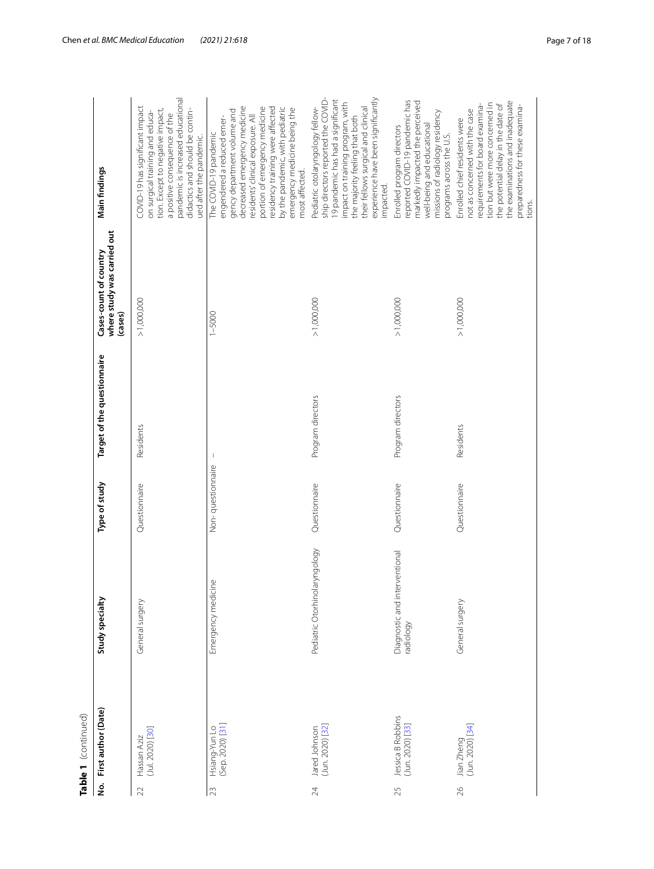|                | Table 1 (continued)                   |                                            |                   |                             |                                                                  |                                                                                                                                                                                                                                                                                                                   |
|----------------|---------------------------------------|--------------------------------------------|-------------------|-----------------------------|------------------------------------------------------------------|-------------------------------------------------------------------------------------------------------------------------------------------------------------------------------------------------------------------------------------------------------------------------------------------------------------------|
| <u>ؤ</u>       | First author (Date)                   | Study specialty                            | Type of study     | Target of the questionnaire | where study was carried out<br>Cases-count of country<br>(cases) | Main findings                                                                                                                                                                                                                                                                                                     |
| $\mathfrak{D}$ | (Jul. 2020) [30]<br>Hassan Aziz       | General surgery                            | Questionnaire     | Residents                   | > 1,000,000                                                      | pandemic is increased educational<br>COVID-19 has significant impact<br>didactics and should be contin-<br>tion. Except to negative impact,<br>on surgical training and educa-<br>a positive consequence of the<br>ued after the pandemic                                                                         |
| 23             | Hsiang-Yun Lo<br>(Sep. 2020) [31]     | Emergency medicine                         | Non-questionnaire |                             | $1 - 5000$                                                       | decreased emergency medicine<br>portion of emergency medicine<br>residency training were affected<br>by the pandemic, with pediatric<br>emergency medicine being the<br>gency department volume and<br>residents' clinical exposure. All<br>engendered a reduced emer-<br>The COVID-19 pandemic<br>most affected. |
| 24             | (Jun. 2020) [32]<br>Jared Johnson     | Pediatric Otorhinolaryngology              | Questionnaire     | Program directors           | >1,000,000                                                       | ship directors reported the COVID-<br>experience have been significantly<br>19 pandemic has had a significant<br>impact on training program, with<br>their fellows surgical and clinical<br>Pediatric otolaryngology fellow-<br>the majority feeling that both<br>impacted.                                       |
| 25             | Jessica B Robbins<br>(Jun. 2020) [33] | Diagnostic and interventional<br>radiology | Questionnaire     | Program directors           | > 1,000,000                                                      | reported COVID-19 pandemic has<br>markedly impacted the perceived<br>missions of radiology residency<br>well-being and educational<br>Enrolled program directors<br>programs across the U.S.                                                                                                                      |
| $\beta$        | Jian Zheng<br>(Jun. 2020) [34]        | General surgery                            | Questionnaire     | Residents                   | > 1,000,000                                                      | the examinations and inadequate<br>tion but were more concerned in<br>requirements for board examina-<br>the potential delay in the date of<br>preparedness for these examina-<br>not as concerned with the case<br>Enrolled chief residents were<br>tions                                                        |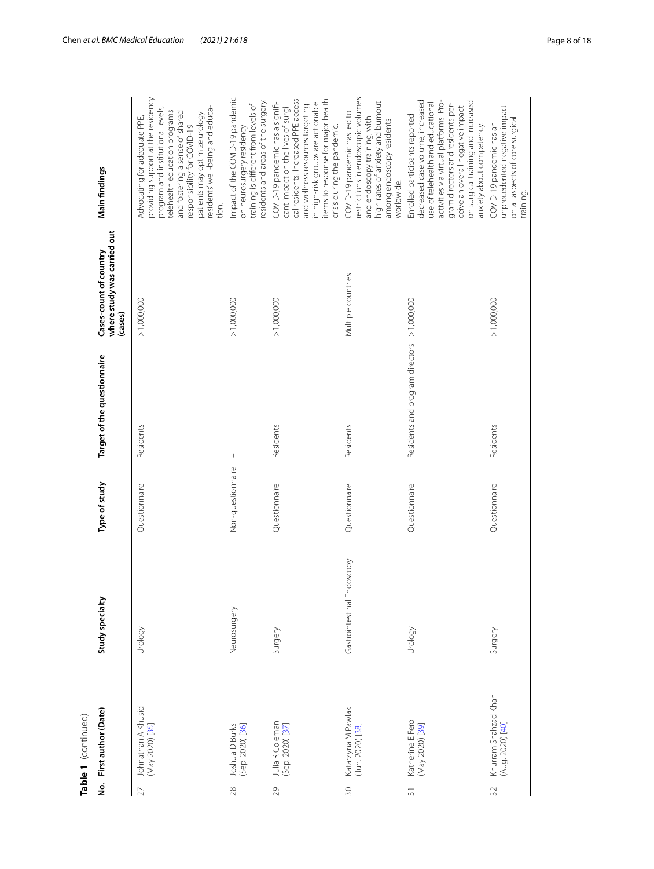|                | Table 1 (continued)                      |                            |                   |                                 |                                                                  |                                                                                                                                                                                                                                                                                               |
|----------------|------------------------------------------|----------------------------|-------------------|---------------------------------|------------------------------------------------------------------|-----------------------------------------------------------------------------------------------------------------------------------------------------------------------------------------------------------------------------------------------------------------------------------------------|
| غ<br>ج         | First author (Date)                      | Study specialty            | Type of study     | Target of the questionnaire     | where study was carried out<br>Cases-count of country<br>(cases) | Main findings                                                                                                                                                                                                                                                                                 |
| 27             | Johnathan A Khusid<br>(May 2020) [35]    | Urology                    | Questionnaire     | Residents                       | > 1,000,000                                                      | providing support at the residency<br>residents' well-being and educa-<br>program and institutional levels,<br>telehealth education programs<br>and fostering a sense of shared<br>patients may optimize urology<br>Advocating for adequate PPE,<br>responsibility for COVID-19<br>tion.      |
| 28             | Joshua D Burks<br>(Sep. 2020) [36]       | Neurosurgery               | Non-questionnaire | $\mathsf I$                     | > 1,000,000                                                      | mpact of the COVID-19 pandemic<br>residents and areas of the surgery.<br>training is different from levels of<br>on neurosurgery residency                                                                                                                                                    |
| 29             | Julia R Coleman<br>(Sep. 2020) [37]      | Surgery                    | Questionnaire     | Residents                       | > 1,000,000                                                      | cal residents. Increased PPE access<br>items to response for major health<br>in high-risk groups are actionable<br>COVID-19 pandemic has a signifi-<br>cant impact on the lives of surgi-<br>and wellness resources targeting<br>crisis during the pandemic.                                  |
| $\approx$      | Katarzyna M Pawlak<br>(Jun. 2020) [38]   | Gastrointestinal Endoscopy | Questionnaire     | Residents                       | Multiple countries                                               | restrictions in endoscopic volumes<br>high rates of anxiety and burnout<br>COVID-19 pandemic has led to<br>and endoscopy training, with<br>among endoscopy residents<br>worldwide.                                                                                                            |
| $\overline{5}$ | Katherine E Fero<br>(May 2020) [39]      | Vrology                    | Questionnaire     | Residents and program directors | > 1,000,000                                                      | decreased case volume, increased<br>activities via virtual platforms. Pro-<br>on surgical training and increased<br>use of telehealth and educational<br>gram directors and residents per-<br>ceive an overall negative impact<br>Enrolled participants reported<br>anxiety about competency. |
| $\Im$          | Khurram Shahzad Khan<br>(Aug. 2020) [40] | Surgery                    | Questionnaire     | Residents                       | > 1,000,000                                                      | unprecedented negative impact<br>on all aspects of core surgical<br>COVID-19 pandemic has an<br>training.                                                                                                                                                                                     |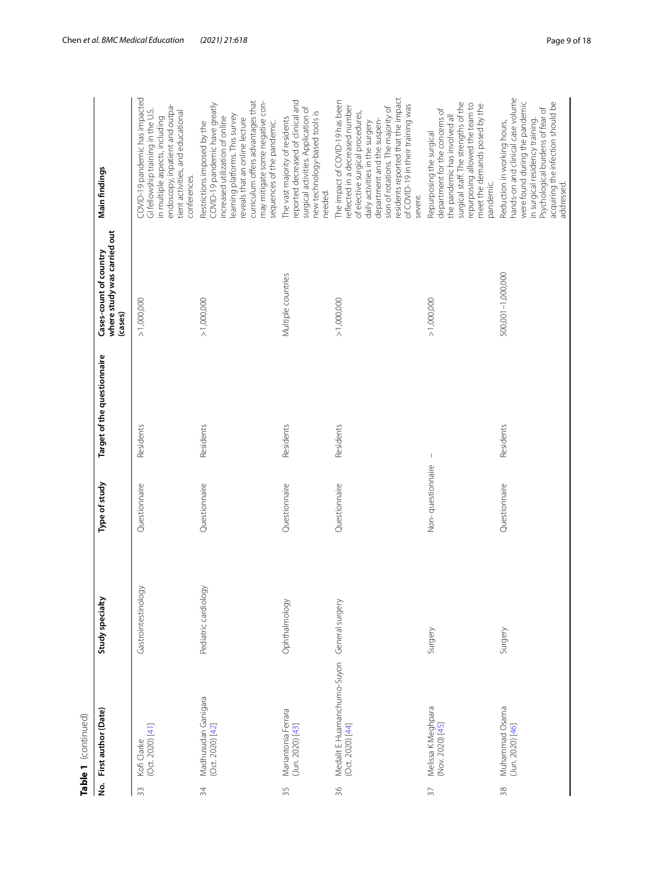|                 | Table 1 (continued)                             |                      |                   |                             |                                                                  |                                                                                                                                                                                                                                                                                                     |
|-----------------|-------------------------------------------------|----------------------|-------------------|-----------------------------|------------------------------------------------------------------|-----------------------------------------------------------------------------------------------------------------------------------------------------------------------------------------------------------------------------------------------------------------------------------------------------|
| ġ               | First author (Date)                             | Study specialty      | Type of study     | Target of the questionnaire | where study was carried out<br>Cases-count of country<br>(cases) | Main findings                                                                                                                                                                                                                                                                                       |
| 33              | (Oct. 2020) [41]<br>Kofi Clarke                 | Gastrointestinology  | Questionnaire     | Residents                   | > 1,000,000                                                      | COVID-19 pandemic has impacted<br>endoscopy, inpatient and outpa-<br>GI fellowship training in the U.S.<br>tient activities, and educational<br>in multiple aspects, including<br>conferences.                                                                                                      |
| 34              | Madhusudan Ganigara<br>(Oct. 2020) [42]         | Pediatric cardiology | Questionnaire     | Residents                   | > 1,000,000                                                      | curriculum offers advantages that<br>may mitigate some negative con-<br>COVID-19 pandemic have greatly<br>learning platforms. This survey<br>increased utilization of online<br>reveals that an online lecture<br>sequences of the pandemic.<br>Restrictions imposed by the                         |
| 35              | Mariantonia Ferrara<br>$(Jun. 2020)$ [43]       | Ophthalmology        | Questionnaire     | Residents                   | Multiple countries                                               | reported decreased of clinical and<br>surgical activities. Application of<br>new technology-based tools is<br>The vast majority of residents<br>needed.                                                                                                                                             |
| 36              | Medalit E Huamanchumo-Suyon<br>(Oct. 2020) [44] | General surgery      | Questionnaire     | Residents                   | > 1,000,000                                                      | residents reported that the impact<br>The impact of COVID-19 has been<br>of COVID-19 in their training was<br>reflected in a decreased number<br>sion of rotations. The majority of<br>of elective surgical procedures,<br>department and the suspen-<br>daily activities in the surgery<br>severe. |
| $\overline{57}$ | Melissa K Meghpara<br>(Nov. 2020) [45]          | Surgery              | Non-questionnaire | $\,$ $\,$                   | > 1,000,000                                                      | surgical staff. The strengths of the<br>repurposing allowed the team to<br>meet the demands posed by the<br>department for the concerns of<br>the pandemic has involved all<br>Repurposing the surgical<br>pandemic.                                                                                |
| $38$            | Muhammad Osama<br>(Jun. 2020) [46]              | Surgery              | Questionnaire     | Residents                   | 500,001-1,000,000                                                | hands-on and clinical case volume<br>were found during the pandemic<br>acquiring the infection should be<br>Psychological burdens of fear of<br>in surgical residency training.<br>Reduction in working hours,<br>addressed.                                                                        |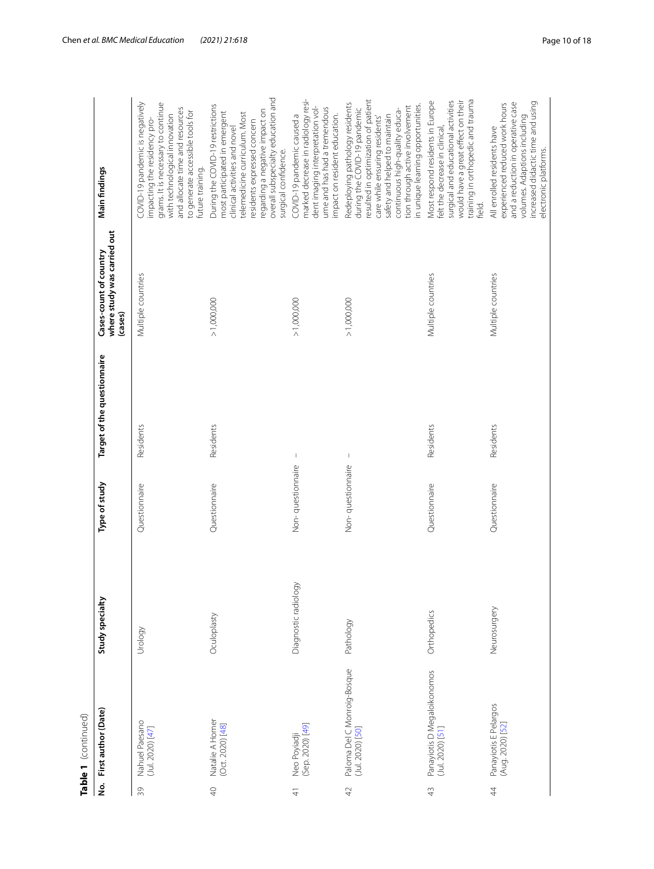|                             | Table 1 (continued)                             |                      |                   |                             |                                                                  |                                                                                                                                                                                                                                                                                     |
|-----------------------------|-------------------------------------------------|----------------------|-------------------|-----------------------------|------------------------------------------------------------------|-------------------------------------------------------------------------------------------------------------------------------------------------------------------------------------------------------------------------------------------------------------------------------------|
| ە<br>S                      | First author (Date)                             | Study specialty      | Type of study     | Target of the questionnaire | where study was carried out<br>Cases-count of country<br>(cases) | Main findings                                                                                                                                                                                                                                                                       |
| $\mathcal{S}^{\mathcal{C}}$ | Nahuel Paesano<br>(Jul. 2020) [47]              | Urology              | Questionnaire     | Residents                   | Multiple countries                                               | COVID-19 pandemic is negatively<br>grams. It is necessary to continue<br>and allocate time and resources<br>to generate accessible tools for<br>with technological innovation<br>impacting the residency pro-<br>future training.                                                   |
| $\varphi$                   | Natalie A Homer<br>(Oct. 2020) [48]             | Oculoplasty          | Questionnaire     | Residents                   | > 1,000,000                                                      | overall subspecialty education and<br>During the COVID-19 restrictions<br>regarding a negative impact on<br>most participated in emergent<br>telemedicine curriculum. Most<br>residents expressed concern<br>clinical activities and novel<br>surgical confidence.                  |
| $\frac{4}{5}$               | Neo Poyiadji<br>(Sep. 2020) [49]                | Diagnostic radiology | Non-questionnaire | $\mathsf I$                 | > 1,000,000                                                      | marked decrease in radiology resi-<br>dent imaging interpretation vol-<br>ume and has had a tremendous<br>COVID-19 pandemic caused a<br>impact on resident education.                                                                                                               |
| $\overline{4}$              | Paloma Del C Monroig-Bosque<br>(Jul. 2020) [50] | Pathology            | Non-questionnaire | T                           | > 1,000,000                                                      | resulted in optimization of patient<br>Redeploying pathology residents<br>in unique learning opportunities.<br>tion through active involvement<br>during the COVID-19 pandemic<br>continuous high-quality educa-<br>safety and helped to maintain<br>care while ensuring residents' |
| $\frac{1}{4}$               | Panayiotis D Megaloikonomos<br>(Jul. 2020) [51] | Orthopedics          | Questionnaire     | Residents                   | Multiple countries                                               | training in orthopedic and trauma<br>surgical and educational activities<br>would have a great effect on their<br>Most respond residents in Europe<br>felt the decrease in clinical,<br>field.                                                                                      |
| $\ddot{4}$                  | Panayiotis E Pelargos<br>(Aug. 2020) [52]       | Neurosurgery         | Questionnaire     | Residents                   | Multiple countries                                               | increased didactic time and using<br>and a reduction in operative case<br>experienced reduced work hours<br>volumes. Adaptions including<br>All enrolled residents have<br>electronic platforms.                                                                                    |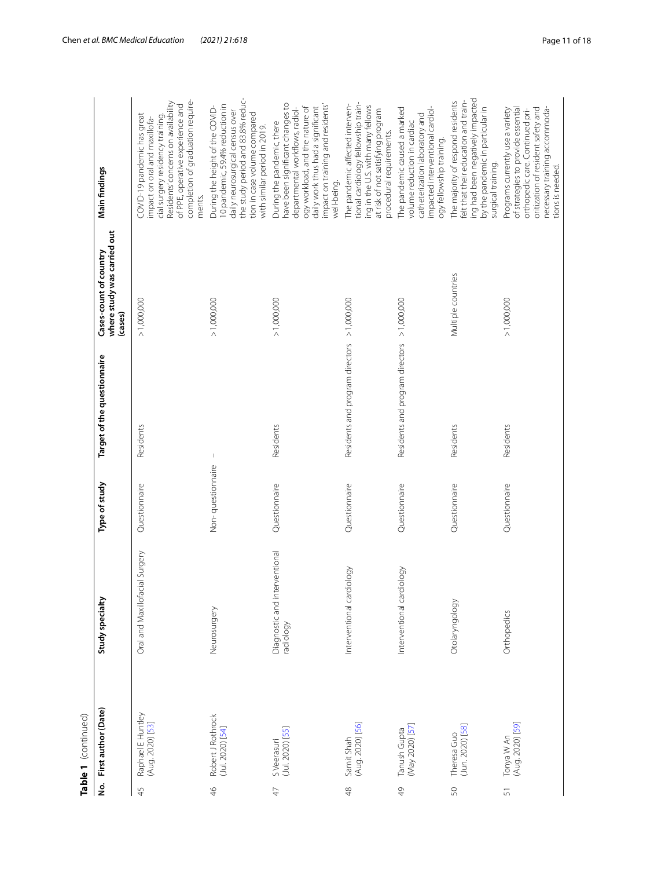|                | Table 1 (continued)                   |                                            |                   |                                             |                                                                  |                                                                                                                                                                                                                               |
|----------------|---------------------------------------|--------------------------------------------|-------------------|---------------------------------------------|------------------------------------------------------------------|-------------------------------------------------------------------------------------------------------------------------------------------------------------------------------------------------------------------------------|
| ġ              | First author (Date)                   | Study specialty                            | Type of study     | Target of the questionnaire                 | where study was carried out<br>Cases-count of country<br>(cases) | Main findings                                                                                                                                                                                                                 |
| 45             | Raphael E Huntley<br>(Aug. 2020) [53] | Oral and Maxillofacial Surgery             | Questionnaire     | Residents                                   | > 1,000,000                                                      | completion of graduation require-<br>Residents' concerns on availability<br>of PPE, operative experience and<br>COVID-19 pandemic has great<br>cial surgery residency training.<br>impact on oral and maxillofa-<br>ments.    |
| $\frac{4}{5}$  | Robert J Rothrock<br>(Jul. 2020) [54] | Neurosurgery                               | Non-questionnaire | $\mathbb{I}$                                | > 1,000,000                                                      | the study period and 83.8% reduc-<br>10 pandemic, 59.4% reduction in<br>During the height of the COVID-<br>daily neurosurgical census over<br>tion in case volume compared<br>with similar period in 2019.                    |
| $\overline{4}$ | S Veerasuri<br>(Jul. 2020) [55]       | Diagnostic and interventional<br>radiology | Questionnaire     | Residents                                   | > 1,000,000                                                      | have been significant changes to<br>impact on training and residents'<br>ogy workload, and the nature of<br>departmental workflows, radiol-<br>daily work thus had a significant<br>During the pandemic, there<br>well-being. |
| $\frac{8}{4}$  | (Aug. 2020) [56]<br>Samit Shah        | Interventional cardiology                  | Questionnaire     | Residents and program directors             | > 1,000,000                                                      | tional cardiology fellowship train-<br>The pandemic affected interven-<br>ing in the U.S. with many fellows<br>at risk of not satisfying program<br>procedural requirements.                                                  |
| $\frac{1}{2}$  | (May 2020) [57]<br>Tanush Gupta       | Interventional cardiology                  | Questionnaire     | Residents and program directors > 1,000,000 |                                                                  | The pandemic caused a marked<br>impacted interventional cardiol-<br>catheterization laboratory and<br>volume reduction in cardiac<br>ogy fellowship training.                                                                 |
| 50             | $(Jun. 2020)$ [58]<br>Theresa Guo     | Otolaryngology                             | Questionnaire     | Residents                                   | Multiple countries                                               | ing had been negatively impacted<br>felt that their education and train-<br>The majority of respond residents<br>by the pandemic in particular in<br>surgical training.                                                       |
| $\overline{5}$ | Tonya W An<br>(Aug. 2020) [59]        | Orthopedics                                | Questionnaire     | Residents                                   | > 1,000,000                                                      | oritization of resident safety and<br>of strategies to provide essential<br>necessary training accommoda-<br>Programs currently use a variety<br>orthopedic care. Continued pri-<br>tions is needed.                          |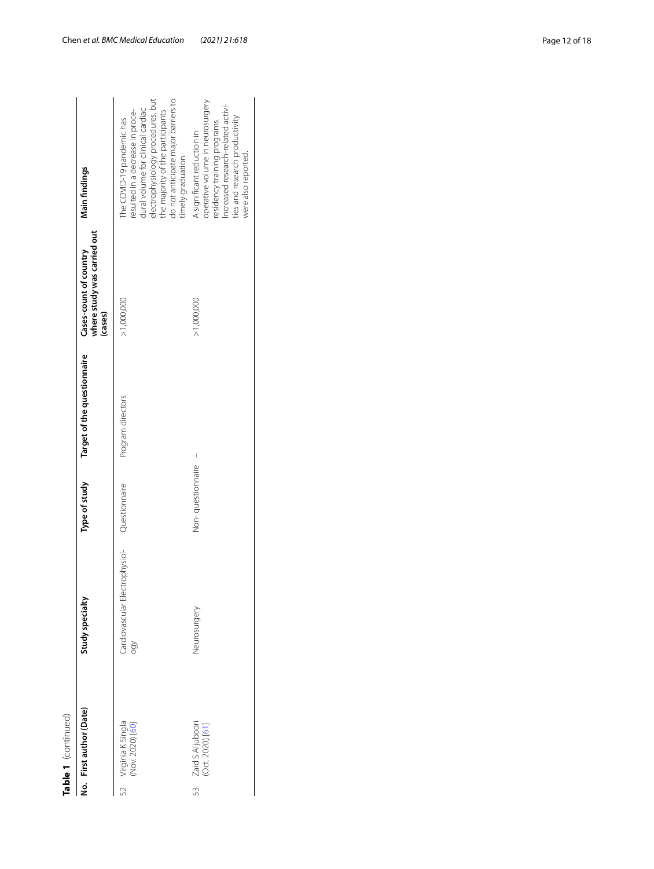| t |
|---|
| c |
|   |
|   |

| Table 1 (continued)                        |                                       |                   |                             |                                                                  |                                                                                                                                                                                                                                          |
|--------------------------------------------|---------------------------------------|-------------------|-----------------------------|------------------------------------------------------------------|------------------------------------------------------------------------------------------------------------------------------------------------------------------------------------------------------------------------------------------|
| No. First author (Date)                    | Study specialty                       | Type of study     | Target of the questionnaire | where study was carried out<br>Cases-count of country<br>(cases) | Main findings                                                                                                                                                                                                                            |
| Virginia K Singla<br>(Nov. 2020) [60]      | Cardiovascular Electrophysiol-<br>Soo | Questionnaire     | Program directors           | >1,000,000                                                       | do not anticipate major barriers to<br>electrophysiology procedures, but<br>dural volume for clinical cardiac<br>resulted in a decrease in proce-<br>the majority of the participants<br>The COVID-19 pandemic has<br>timely graduation. |
| Zaid S Aljuboori<br>(Oct. 2020) [61]<br>53 | Neurosurgery                          | Non-questionnaire | I                           | >1,000,000                                                       | operative volume in neurosurgery<br>Increased research-related activi-<br>ties and research productivity<br>residency training programs.<br>A significant reduction in<br>were also reported.                                            |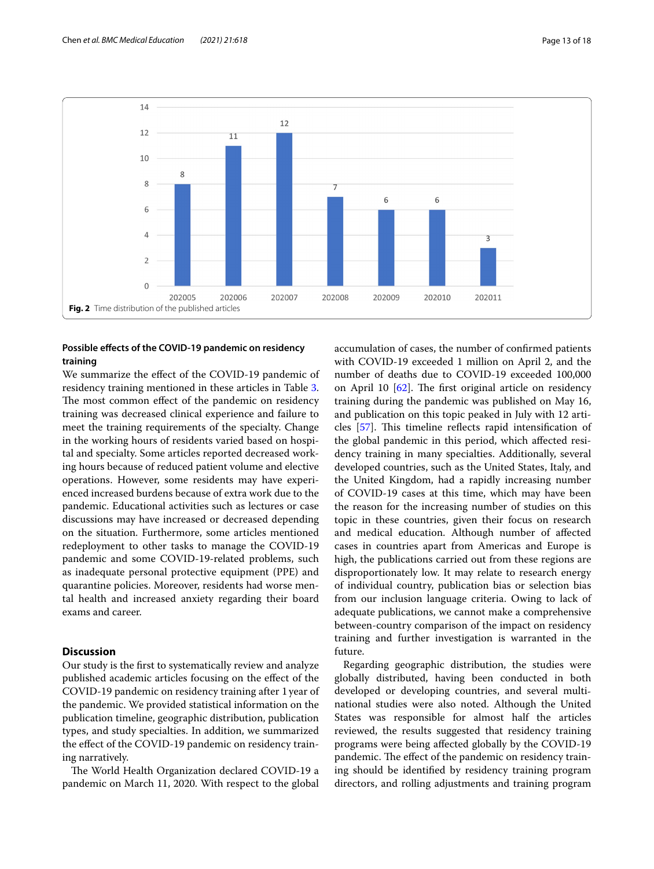

# <span id="page-12-0"></span>**Possible efects of the COVID-19 pandemic on residency training**

We summarize the efect of the COVID-19 pandemic of residency training mentioned in these articles in Table [3](#page-13-2). The most common effect of the pandemic on residency training was decreased clinical experience and failure to meet the training requirements of the specialty. Change in the working hours of residents varied based on hospital and specialty. Some articles reported decreased working hours because of reduced patient volume and elective operations. However, some residents may have experienced increased burdens because of extra work due to the pandemic. Educational activities such as lectures or case discussions may have increased or decreased depending on the situation. Furthermore, some articles mentioned redeployment to other tasks to manage the COVID-19 pandemic and some COVID-19-related problems, such as inadequate personal protective equipment (PPE) and quarantine policies. Moreover, residents had worse mental health and increased anxiety regarding their board exams and career.

# **Discussion**

Our study is the frst to systematically review and analyze published academic articles focusing on the efect of the COVID-19 pandemic on residency training after 1 year of the pandemic. We provided statistical information on the publication timeline, geographic distribution, publication types, and study specialties. In addition, we summarized the effect of the COVID-19 pandemic on residency training narratively.

The World Health Organization declared COVID-19 a pandemic on March 11, 2020. With respect to the global accumulation of cases, the number of confrmed patients with COVID-19 exceeded 1 million on April 2, and the number of deaths due to COVID-19 exceeded 100,000 on April 10  $[62]$  $[62]$ . The first original article on residency training during the pandemic was published on May 16, and publication on this topic peaked in July with 12 articles  $[57]$  $[57]$ . This timeline reflects rapid intensification of the global pandemic in this period, which afected residency training in many specialties. Additionally, several developed countries, such as the United States, Italy, and the United Kingdom, had a rapidly increasing number of COVID-19 cases at this time, which may have been the reason for the increasing number of studies on this topic in these countries, given their focus on research and medical education. Although number of afected cases in countries apart from Americas and Europe is high, the publications carried out from these regions are disproportionately low. It may relate to research energy of individual country, publication bias or selection bias from our inclusion language criteria. Owing to lack of adequate publications, we cannot make a comprehensive between-country comparison of the impact on residency training and further investigation is warranted in the future.

Regarding geographic distribution, the studies were globally distributed, having been conducted in both developed or developing countries, and several multinational studies were also noted. Although the United States was responsible for almost half the articles reviewed, the results suggested that residency training programs were being afected globally by the COVID-19 pandemic. The effect of the pandemic on residency training should be identifed by residency training program directors, and rolling adjustments and training program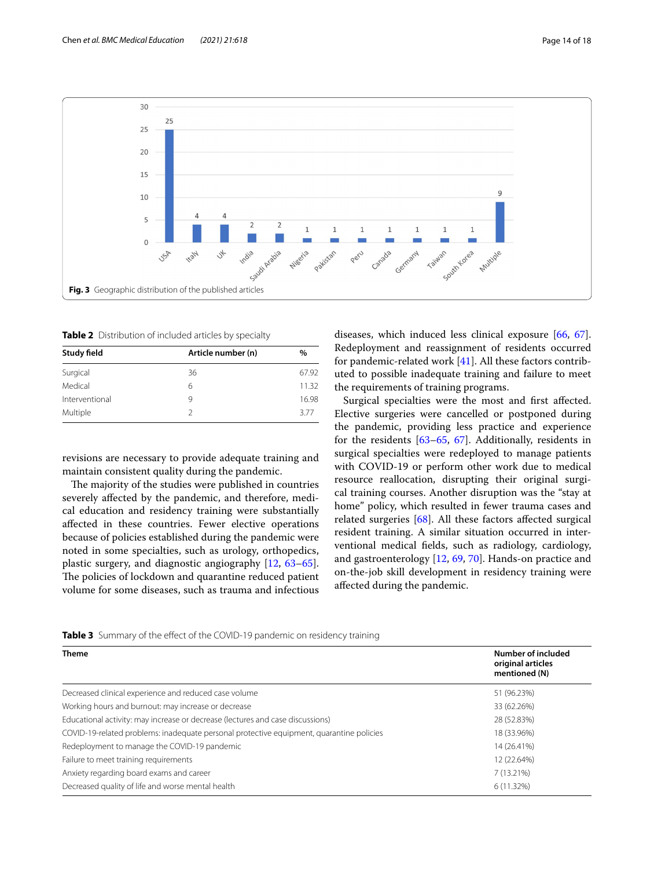

<span id="page-13-1"></span><span id="page-13-0"></span>**Table 2** Distribution of included articles by specialty

| Study field    | Article number (n) | $\%$  |
|----------------|--------------------|-------|
| Surgical       | 36                 | 67.92 |
| Medical        | 6                  | 11.32 |
| Interventional | 9                  | 16.98 |
| Multiple       |                    | 377   |

revisions are necessary to provide adequate training and maintain consistent quality during the pandemic.

The majority of the studies were published in countries severely afected by the pandemic, and therefore, medical education and residency training were substantially afected in these countries. Fewer elective operations because of policies established during the pandemic were noted in some specialties, such as urology, orthopedics, plastic surgery, and diagnostic angiography [[12,](#page-15-9) [63](#page-17-6)[–65](#page-17-7)]. The policies of lockdown and quarantine reduced patient volume for some diseases, such as trauma and infectious diseases, which induced less clinical exposure [\[66,](#page-17-8) [67](#page-17-9)]. Redeployment and reassignment of residents occurred for pandemic-related work [\[41](#page-16-25)]. All these factors contributed to possible inadequate training and failure to meet the requirements of training programs.

Surgical specialties were the most and frst afected. Elective surgeries were cancelled or postponed during the pandemic, providing less practice and experience for the residents [[63–](#page-17-6)[65](#page-17-7), [67\]](#page-17-9). Additionally, residents in surgical specialties were redeployed to manage patients with COVID-19 or perform other work due to medical resource reallocation, disrupting their original surgical training courses. Another disruption was the "stay at home" policy, which resulted in fewer trauma cases and related surgeries [[68\]](#page-17-10). All these factors afected surgical resident training. A similar situation occurred in interventional medical felds, such as radiology, cardiology, and gastroenterology [\[12](#page-15-9), [69,](#page-17-11) [70](#page-17-12)]. Hands-on practice and on-the-job skill development in residency training were afected during the pandemic.

<span id="page-13-2"></span>

|  |  |  |  | Table 3 Summary of the effect of the COVID-19 pandemic on residency training |
|--|--|--|--|------------------------------------------------------------------------------|
|--|--|--|--|------------------------------------------------------------------------------|

| <b>Theme</b>                                                                             | Number of included<br>original articles<br>mentioned (N) |
|------------------------------------------------------------------------------------------|----------------------------------------------------------|
| Decreased clinical experience and reduced case volume                                    | 51 (96.23%)                                              |
| Working hours and burnout: may increase or decrease                                      | 33 (62.26%)                                              |
| Educational activity: may increase or decrease (lectures and case discussions)           | 28 (52.83%)                                              |
| COVID-19-related problems: inadequate personal protective equipment, quarantine policies | 18 (33.96%)                                              |
| Redeployment to manage the COVID-19 pandemic                                             | 14 (26.41%)                                              |
| Failure to meet training requirements                                                    | 12 (22.64%)                                              |
| Anxiety regarding board exams and career                                                 | 7 (13.21%)                                               |
| Decreased quality of life and worse mental health                                        | 6 (11.32%)                                               |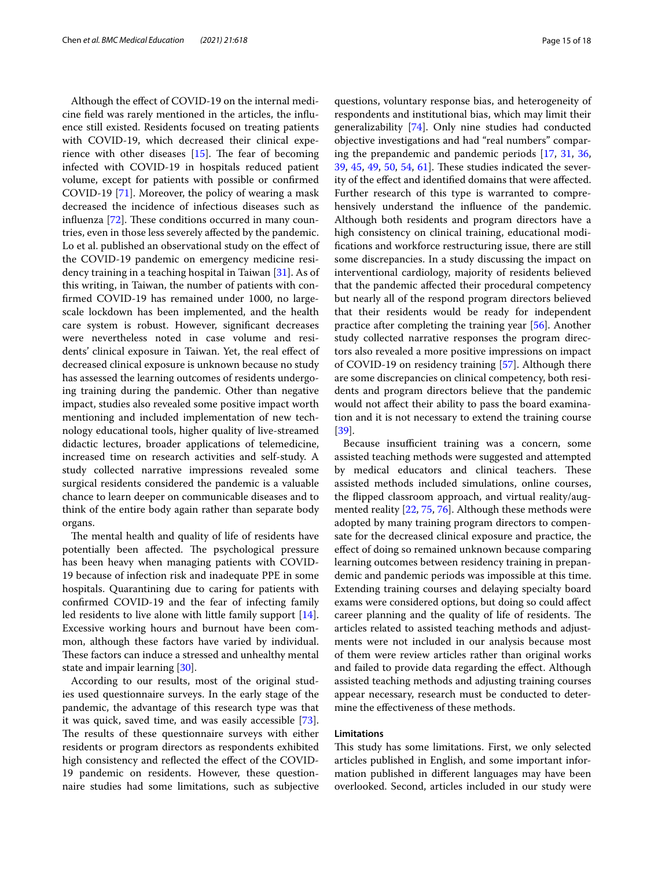Although the efect of COVID-19 on the internal medicine feld was rarely mentioned in the articles, the infuence still existed. Residents focused on treating patients with COVID-19, which decreased their clinical experience with other diseases  $[15]$ . The fear of becoming infected with COVID-19 in hospitals reduced patient volume, except for patients with possible or confrmed COVID-19 [\[71](#page-17-13)]. Moreover, the policy of wearing a mask decreased the incidence of infectious diseases such as influenza  $[72]$  $[72]$ . These conditions occurred in many countries, even in those less severely afected by the pandemic. Lo et al. published an observational study on the efect of the COVID-19 pandemic on emergency medicine residency training in a teaching hospital in Taiwan [[31\]](#page-16-15). As of this writing, in Taiwan, the number of patients with confrmed COVID-19 has remained under 1000, no largescale lockdown has been implemented, and the health care system is robust. However, signifcant decreases were nevertheless noted in case volume and residents' clinical exposure in Taiwan. Yet, the real efect of decreased clinical exposure is unknown because no study has assessed the learning outcomes of residents undergoing training during the pandemic. Other than negative impact, studies also revealed some positive impact worth mentioning and included implementation of new technology educational tools, higher quality of live-streamed didactic lectures, broader applications of telemedicine, increased time on research activities and self-study. A study collected narrative impressions revealed some surgical residents considered the pandemic is a valuable chance to learn deeper on communicable diseases and to think of the entire body again rather than separate body organs.

The mental health and quality of life of residents have potentially been affected. The psychological pressure has been heavy when managing patients with COVID-19 because of infection risk and inadequate PPE in some hospitals. Quarantining due to caring for patients with confrmed COVID-19 and the fear of infecting family led residents to live alone with little family support [\[14](#page-15-11)]. Excessive working hours and burnout have been common, although these factors have varied by individual. These factors can induce a stressed and unhealthy mental state and impair learning [\[30\]](#page-16-14).

According to our results, most of the original studies used questionnaire surveys. In the early stage of the pandemic, the advantage of this research type was that it was quick, saved time, and was easily accessible [\[73](#page-17-15)]. The results of these questionnaire surveys with either residents or program directors as respondents exhibited high consistency and reflected the effect of the COVID-19 pandemic on residents. However, these questionnaire studies had some limitations, such as subjective

questions, voluntary response bias, and heterogeneity of respondents and institutional bias, which may limit their generalizability [[74\]](#page-17-16). Only nine studies had conducted objective investigations and had "real numbers" comparing the prepandemic and pandemic periods [\[17](#page-16-1), [31,](#page-16-15) [36](#page-16-20), [39,](#page-16-23) [45,](#page-16-29) [49,](#page-16-33) [50,](#page-16-34) [54](#page-16-38), [61](#page-17-4)]. These studies indicated the severity of the efect and identifed domains that were afected. Further research of this type is warranted to comprehensively understand the infuence of the pandemic. Although both residents and program directors have a high consistency on clinical training, educational modifcations and workforce restructuring issue, there are still some discrepancies. In a study discussing the impact on interventional cardiology, majority of residents believed that the pandemic afected their procedural competency but nearly all of the respond program directors believed that their residents would be ready for independent practice after completing the training year [[56\]](#page-16-40). Another study collected narrative responses the program directors also revealed a more positive impressions on impact of COVID-19 on residency training [[57\]](#page-17-0). Although there are some discrepancies on clinical competency, both residents and program directors believe that the pandemic would not afect their ability to pass the board examination and it is not necessary to extend the training course [[39\]](#page-16-23).

Because insufficient training was a concern, some assisted teaching methods were suggested and attempted by medical educators and clinical teachers. These assisted methods included simulations, online courses, the fipped classroom approach, and virtual reality/augmented reality [\[22](#page-16-6), [75,](#page-17-17) [76](#page-17-18)]. Although these methods were adopted by many training program directors to compensate for the decreased clinical exposure and practice, the efect of doing so remained unknown because comparing learning outcomes between residency training in prepandemic and pandemic periods was impossible at this time. Extending training courses and delaying specialty board exams were considered options, but doing so could afect career planning and the quality of life of residents. The articles related to assisted teaching methods and adjustments were not included in our analysis because most of them were review articles rather than original works and failed to provide data regarding the efect. Although assisted teaching methods and adjusting training courses appear necessary, research must be conducted to determine the efectiveness of these methods.

# **Limitations**

This study has some limitations. First, we only selected articles published in English, and some important information published in diferent languages may have been overlooked. Second, articles included in our study were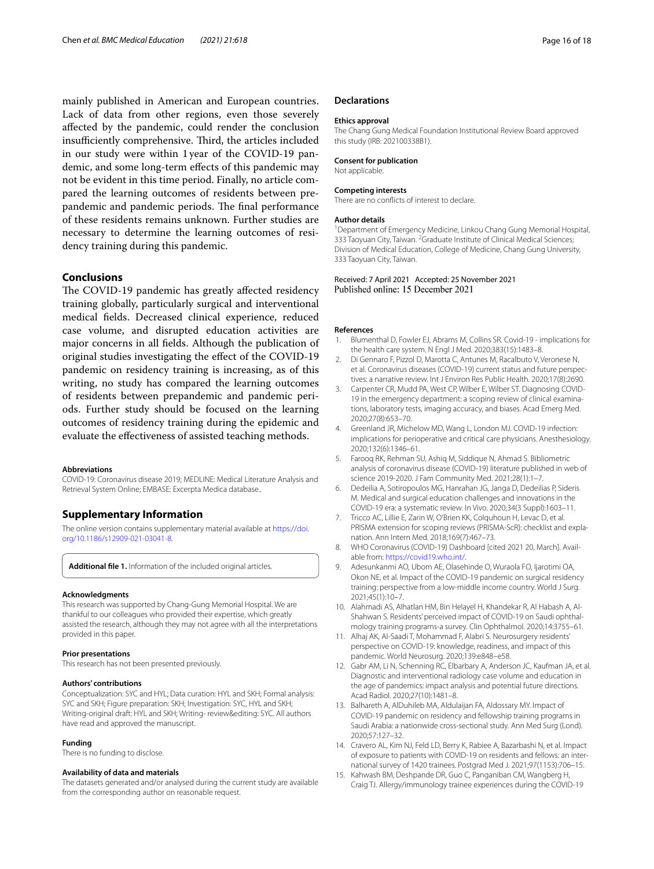mainly published in American and European countries. Lack of data from other regions, even those severely afected by the pandemic, could render the conclusion insufficiently comprehensive. Third, the articles included in our study were within 1year of the COVID-19 pandemic, and some long-term efects of this pandemic may not be evident in this time period. Finally, no article compared the learning outcomes of residents between prepandemic and pandemic periods. The final performance of these residents remains unknown. Further studies are necessary to determine the learning outcomes of residency training during this pandemic.

## **Conclusions**

The COVID-19 pandemic has greatly affected residency training globally, particularly surgical and interventional medical felds. Decreased clinical experience, reduced case volume, and disrupted education activities are major concerns in all felds. Although the publication of original studies investigating the efect of the COVID-19 pandemic on residency training is increasing, as of this writing, no study has compared the learning outcomes of residents between prepandemic and pandemic periods. Further study should be focused on the learning outcomes of residency training during the epidemic and evaluate the efectiveness of assisted teaching methods.

#### **Abbreviations**

COVID-19: Coronavirus disease 2019; MEDLINE: Medical Literature Analysis and Retrieval System Online; EMBASE: Excerpta Medica database..

# **Supplementary Information**

The online version contains supplementary material available at [https://doi.](https://doi.org/10.1186/s12909-021-03041-8) [org/10.1186/s12909-021-03041-8](https://doi.org/10.1186/s12909-021-03041-8).

<span id="page-15-5"></span>**Additional fle 1.** Information of the included original articles.

#### **Acknowledgments**

This research was supported by Chang-Gung Memorial Hospital. We are thankful to our colleagues who provided their expertise, which greatly assisted the research, although they may not agree with all the interpretations provided in this paper.

#### **Prior presentations**

This research has not been presented previously.

#### **Authors' contributions**

Conceptualization: SYC and HYL; Data curation: HYL and SKH; Formal analysis: SYC and SKH; Figure preparation: SKH; Investigation: SYC, HYL and SKH; Writing-original draft: HYL and SKH; Writing- review&editing: SYC. All authors have read and approved the manuscript.

#### **Funding**

There is no funding to disclose.

#### **Availability of data and materials**

The datasets generated and/or analysed during the current study are available from the corresponding author on reasonable request.

## **Declarations**

#### **Ethics approval**

The Chang Gung Medical Foundation Institutional Review Board approved this study (IRB: 202100338B1).

#### **Consent for publication**

Not applicable.

#### **Competing interests**

There are no conficts of interest to declare.

## **Author details**

<sup>1</sup> Department of Emergency Medicine, Linkou Chang Gung Memorial Hospital, 333 Taoyuan City, Taiwan. <sup>2</sup> Graduate Institute of Clinical Medical Sciences; Division of Medical Education, College of Medicine, Chang Gung University, 333 Taoyuan City, Taiwan.

Received: 7 April 2021 Accepted: 25 November 2021 Published online: 15 December 2021

#### **References**

- <span id="page-15-0"></span>1. Blumenthal D, Fowler EJ, Abrams M, Collins SR. Covid-19 - implications for the health care system. N Engl J Med. 2020;383(15):1483–8.
- 2. Di Gennaro F, Pizzol D, Marotta C, Antunes M, Racalbuto V, Veronese N, et al. Coronavirus diseases (COVID-19) current status and future perspec‑ tives: a narrative review. Int J Environ Res Public Health. 2020;17(8):2690.
- 3. Carpenter CR, Mudd PA, West CP, Wilber E, Wilber ST. Diagnosing COVID-19 in the emergency department: a scoping review of clinical examinations, laboratory tests, imaging accuracy, and biases. Acad Emerg Med. 2020;27(8):653–70.
- 4. Greenland JR, Michelow MD, Wang L, London MJ. COVID-19 infection: implications for perioperative and critical care physicians. Anesthesiology. 2020;132(6):1346–61.
- <span id="page-15-1"></span>5. Farooq RK, Rehman SU, Ashiq M, Siddique N, Ahmad S. Bibliometric analysis of coronavirus disease (COVID-19) literature published in web of science 2019-2020. J Fam Community Med. 2021;28(1):1–7.
- <span id="page-15-2"></span>6. Dedeilia A, Sotiropoulos MG, Hanrahan JG, Janga D, Dedeilias P, Sideris M. Medical and surgical education challenges and innovations in the COVID-19 era: a systematic review. In Vivo. 2020;34(3 Suppl):1603–11.
- <span id="page-15-3"></span>7. Tricco AC, Lillie E, Zarin W, O'Brien KK, Colquhoun H, Levac D, et al. PRISMA extension for scoping reviews (PRISMA-ScR): checklist and explanation. Ann Intern Med. 2018;169(7):467–73.
- <span id="page-15-4"></span>8. WHO Coronavirus (COVID-19) Dashboard [cited 2021 20, March]. Available from: [https://covid19.who.int/.](https://covid19.who.int/)
- <span id="page-15-6"></span>9. Adesunkanmi AO, Ubom AE, Olasehinde O, Wuraola FO, Ijarotimi OA, Okon NE, et al. Impact of the COVID-19 pandemic on surgical residency training: perspective from a low-middle income country. World J Surg. 2021;45(1):10–7.
- <span id="page-15-7"></span>10. Alahmadi AS, Alhatlan HM, Bin Helayel H, Khandekar R, Al Habash A, Al-Shahwan S. Residents' perceived impact of COVID-19 on Saudi ophthalmology training programs-a survey. Clin Ophthalmol. 2020;14:3755–61.
- <span id="page-15-8"></span>11. Alhaj AK, Al-Saadi T, Mohammad F, Alabri S. Neurosurgery residents' perspective on COVID-19: knowledge, readiness, and impact of this pandemic. World Neurosurg. 2020;139:e848–e58.
- <span id="page-15-9"></span>12. Gabr AM, Li N, Schenning RC, Elbarbary A, Anderson JC, Kaufman JA, et al. Diagnostic and interventional radiology case volume and education in the age of pandemics: impact analysis and potential future directions. Acad Radiol. 2020;27(10):1481–8.
- <span id="page-15-10"></span>13. Balhareth A, AlDuhileb MA, Aldulaijan FA, Aldossary MY. Impact of COVID-19 pandemic on residency and fellowship training programs in Saudi Arabia: a nationwide cross-sectional study. Ann Med Surg (Lond). 2020;57:127–32.
- <span id="page-15-11"></span>14. Cravero AL, Kim NJ, Feld LD, Berry K, Rabiee A, Bazarbashi N, et al. Impact of exposure to patients with COVID-19 on residents and fellows: an international survey of 1420 trainees. Postgrad Med J. 2021;97(1153):706–15.
- <span id="page-15-12"></span>15. Kahwash BM, Deshpande DR, Guo C, Panganiban CM, Wangberg H, Craig TJ. Allergy/immunology trainee experiences during the COVID-19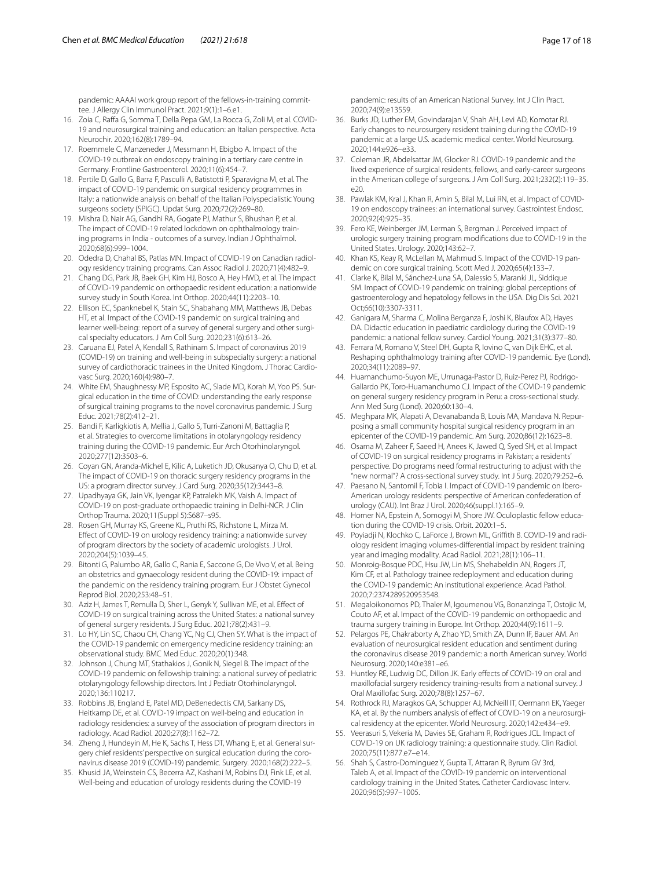pandemic: AAAAI work group report of the fellows-in-training committee. J Allergy Clin Immunol Pract. 2021;9(1):1–6.e1.

- <span id="page-16-0"></span>16. Zoia C, Rafa G, Somma T, Della Pepa GM, La Rocca G, Zoli M, et al. COVID-19 and neurosurgical training and education: an Italian perspective. Acta Neurochir. 2020;162(8):1789–94.
- <span id="page-16-1"></span>17. Roemmele C, Manzeneder J, Messmann H, Ebigbo A. Impact of the COVID-19 outbreak on endoscopy training in a tertiary care centre in Germany. Frontline Gastroenterol. 2020;11(6):454–7.
- <span id="page-16-2"></span>18. Pertile D, Gallo G, Barra F, Pasculli A, Batistotti P, Sparavigna M, et al. The impact of COVID-19 pandemic on surgical residency programmes in Italy: a nationwide analysis on behalf of the Italian Polyspecialistic Young surgeons society (SPIGC). Updat Surg. 2020;72(2):269–80.
- <span id="page-16-3"></span>19. Mishra D, Nair AG, Gandhi RA, Gogate PJ, Mathur S, Bhushan P, et al. The impact of COVID-19 related lockdown on ophthalmology training programs in India - outcomes of a survey. Indian J Ophthalmol. 2020;68(6):999–1004.
- <span id="page-16-4"></span>20. Odedra D, Chahal BS, Patlas MN. Impact of COVID-19 on Canadian radiology residency training programs. Can Assoc Radiol J. 2020;71(4):482–9.
- <span id="page-16-5"></span>21. Chang DG, Park JB, Baek GH, Kim HJ, Bosco A, Hey HWD, et al. The impact of COVID-19 pandemic on orthopaedic resident education: a nationwide survey study in South Korea. Int Orthop. 2020;44(11):2203–10.
- <span id="page-16-6"></span>22. Ellison EC, Spanknebel K, Stain SC, Shabahang MM, Matthews JB, Debas HT, et al. Impact of the COVID-19 pandemic on surgical training and learner well-being: report of a survey of general surgery and other surgical specialty educators. J Am Coll Surg. 2020;231(6):613–26.
- <span id="page-16-7"></span>23. Caruana EJ, Patel A, Kendall S, Rathinam S. Impact of coronavirus 2019 (COVID-19) on training and well-being in subspecialty surgery: a national survey of cardiothoracic trainees in the United Kingdom. J Thorac Cardiovasc Surg. 2020;160(4):980–7.
- <span id="page-16-8"></span>24. White EM, Shaughnessy MP, Esposito AC, Slade MD, Korah M, Yoo PS. Surgical education in the time of COVID: understanding the early response of surgical training programs to the novel coronavirus pandemic. J Surg Educ. 2021;78(2):412–21.
- <span id="page-16-9"></span>25. Bandi F, Karligkiotis A, Mellia J, Gallo S, Turri-Zanoni M, Battaglia P, et al. Strategies to overcome limitations in otolaryngology residency training during the COVID-19 pandemic. Eur Arch Otorhinolaryngol. 2020;277(12):3503–6.
- <span id="page-16-10"></span>26. Coyan GN, Aranda-Michel E, Kilic A, Luketich JD, Okusanya O, Chu D, et al. The impact of COVID-19 on thoracic surgery residency programs in the US: a program director survey. J Card Surg. 2020;35(12):3443–8.
- <span id="page-16-11"></span>27. Upadhyaya GK, Jain VK, Iyengar KP, Patralekh MK, Vaish A. Impact of COVID-19 on post-graduate orthopaedic training in Delhi-NCR. J Clin Orthop Trauma. 2020;11(Suppl 5):S687–s95.
- <span id="page-16-12"></span>28. Rosen GH, Murray KS, Greene KL, Pruthi RS, Richstone L, Mirza M. Efect of COVID-19 on urology residency training: a nationwide survey of program directors by the society of academic urologists. J Urol. 2020;204(5):1039–45.
- <span id="page-16-13"></span>29. Bitonti G, Palumbo AR, Gallo C, Rania E, Saccone G, De Vivo V, et al. Being an obstetrics and gynaecology resident during the COVID-19: impact of the pandemic on the residency training program. Eur J Obstet Gynecol Reprod Biol. 2020;253:48–51.
- <span id="page-16-14"></span>30. Aziz H, James T, Remulla D, Sher L, Genyk Y, Sullivan ME, et al. Efect of COVID-19 on surgical training across the United States: a national survey of general surgery residents. J Surg Educ. 2021;78(2):431–9.
- <span id="page-16-15"></span>31. Lo HY, Lin SC, Chaou CH, Chang YC, Ng CJ, Chen SY. What is the impact of the COVID-19 pandemic on emergency medicine residency training: an observational study. BMC Med Educ. 2020;20(1):348.
- <span id="page-16-16"></span>32. Johnson J, Chung MT, Stathakios J, Gonik N, Siegel B. The impact of the COVID-19 pandemic on fellowship training: a national survey of pediatric otolaryngology fellowship directors. Int J Pediatr Otorhinolaryngol. 2020;136:110217.
- <span id="page-16-17"></span>33. Robbins JB, England E, Patel MD, DeBenedectis CM, Sarkany DS, Heitkamp DE, et al. COVID-19 impact on well-being and education in radiology residencies: a survey of the association of program directors in radiology. Acad Radiol. 2020;27(8):1162–72.
- <span id="page-16-18"></span>34. Zheng J, Hundeyin M, He K, Sachs T, Hess DT, Whang E, et al. General surgery chief residents' perspective on surgical education during the coronavirus disease 2019 (COVID-19) pandemic. Surgery. 2020;168(2):222–5.
- <span id="page-16-19"></span>35. Khusid JA, Weinstein CS, Becerra AZ, Kashani M, Robins DJ, Fink LE, et al. Well-being and education of urology residents during the COVID-19

pandemic: results of an American National Survey. Int J Clin Pract. 2020;74(9):e13559.

- <span id="page-16-20"></span>36. Burks JD, Luther EM, Govindarajan V, Shah AH, Levi AD, Komotar RJ. Early changes to neurosurgery resident training during the COVID-19 pandemic at a large U.S. academic medical center. World Neurosurg. 2020;144:e926–e33.
- <span id="page-16-21"></span>37. Coleman JR, Abdelsattar JM, Glocker RJ. COVID-19 pandemic and the lived experience of surgical residents, fellows, and early-career surgeons in the American college of surgeons. J Am Coll Surg. 2021;232(2):119–35.  $e20$
- <span id="page-16-22"></span>38. Pawlak KM, Kral J, Khan R, Amin S, Bilal M, Lui RN, et al. Impact of COVID-19 on endoscopy trainees: an international survey. Gastrointest Endosc. 2020;92(4):925–35.
- <span id="page-16-23"></span>39. Fero KE, Weinberger JM, Lerman S, Bergman J. Perceived impact of urologic surgery training program modifcations due to COVID-19 in the United States. Urology. 2020;143:62–7.
- <span id="page-16-24"></span>40. Khan KS, Keay R, McLellan M, Mahmud S. Impact of the COVID-19 pandemic on core surgical training. Scott Med J. 2020;65(4):133–7.
- <span id="page-16-25"></span>41. Clarke K, Bilal M, Sánchez-Luna SA, Dalessio S, Maranki JL, Siddique SM. Impact of COVID-19 pandemic on training: global perceptions of gastroenterology and hepatology fellows in the USA. Dig Dis Sci. 2021 Oct;66(10):3307-3311.
- <span id="page-16-26"></span>42. Ganigara M, Sharma C, Molina Berganza F, Joshi K, Blaufox AD, Hayes DA. Didactic education in paediatric cardiology during the COVID-19 pandemic: a national fellow survey. Cardiol Young. 2021;31(3):377–80.
- <span id="page-16-27"></span>43. Ferrara M, Romano V, Steel DH, Gupta R, Iovino C, van Dijk EHC, et al. Reshaping ophthalmology training after COVID-19 pandemic. Eye (Lond). 2020;34(11):2089–97.
- <span id="page-16-28"></span>44. Huamanchumo-Suyon ME, Urrunaga-Pastor D, Ruiz-Perez PJ, Rodrigo-Gallardo PK, Toro-Huamanchumo CJ. Impact of the COVID-19 pandemic on general surgery residency program in Peru: a cross-sectional study. Ann Med Surg (Lond). 2020;60:130–4.
- <span id="page-16-29"></span>45. Meghpara MK, Alapati A, Devanabanda B, Louis MA, Mandava N. Repurposing a small community hospital surgical residency program in an epicenter of the COVID-19 pandemic. Am Surg. 2020;86(12):1623–8.
- <span id="page-16-30"></span>46. Osama M, Zaheer F, Saeed H, Anees K, Jawed Q, Syed SH, et al. Impact of COVID-19 on surgical residency programs in Pakistan; a residents' perspective. Do programs need formal restructuring to adjust with the "new normal"? A cross-sectional survey study. Int J Surg. 2020;79:252–6.
- <span id="page-16-31"></span>47. Paesano N, Santomil F, Tobia I. Impact of COVID-19 pandemic on Ibero-American urology residents: perspective of American confederation of urology (CAU). Int Braz J Urol. 2020;46(suppl.1):165–9.
- <span id="page-16-32"></span>48. Homer NA, Epstein A, Somogyi M, Shore JW. Oculoplastic fellow education during the COVID-19 crisis. Orbit. 2020:1–5.
- <span id="page-16-33"></span>49. Poyiadji N, Klochko C, LaForce J, Brown ML, Griffith B. COVID-19 and radiology resident imaging volumes-diferential impact by resident training year and imaging modality. Acad Radiol. 2021;28(1):106–11.
- <span id="page-16-34"></span>50. Monroig-Bosque PDC, Hsu JW, Lin MS, Shehabeldin AN, Rogers JT, Kim CF, et al. Pathology trainee redeployment and education during the COVID-19 pandemic: An institutional experience. Acad Pathol. 2020;7:2374289520953548.
- <span id="page-16-35"></span>51. Megaloikonomos PD, Thaler M, Igoumenou VG, Bonanzinga T, Ostojic M, Couto AF, et al. Impact of the COVID-19 pandemic on orthopaedic and trauma surgery training in Europe. Int Orthop. 2020;44(9):1611–9.
- <span id="page-16-36"></span>52. Pelargos PE, Chakraborty A, Zhao YD, Smith ZA, Dunn IF, Bauer AM. An evaluation of neurosurgical resident education and sentiment during the coronavirus disease 2019 pandemic: a north American survey. World Neurosurg. 2020;140:e381–e6.
- <span id="page-16-37"></span>53. Huntley RE, Ludwig DC, Dillon JK. Early effects of COVID-19 on oral and maxillofacial surgery residency training-results from a national survey. J Oral Maxillofac Surg. 2020;78(8):1257–67.
- <span id="page-16-38"></span>54. Rothrock RJ, Maragkos GA, Schupper AJ, McNeill IT, Oermann EK, Yaeger KA, et al. By the numbers analysis of effect of COVID-19 on a neurosurgical residency at the epicenter. World Neurosurg. 2020;142:e434–e9.
- <span id="page-16-39"></span>55. Veerasuri S, Vekeria M, Davies SE, Graham R, Rodrigues JCL. Impact of COVID-19 on UK radiology training: a questionnaire study. Clin Radiol. 2020;75(11):877.e7–e14.
- <span id="page-16-40"></span>56. Shah S, Castro-Dominguez Y, Gupta T, Attaran R, Byrum GV 3rd, Taleb A, et al. Impact of the COVID-19 pandemic on interventional cardiology training in the United States. Catheter Cardiovasc Interv. 2020;96(5):997–1005.